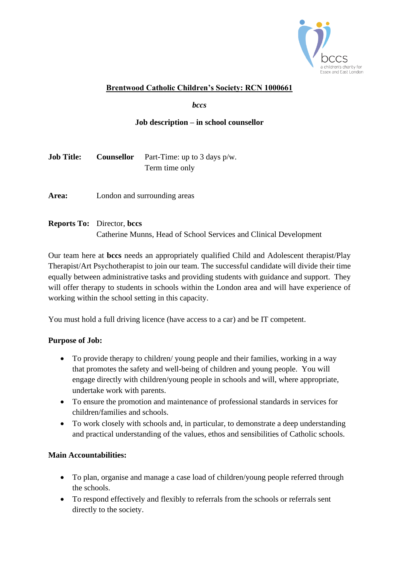

## **Brentwood Catholic Children's Society: RCN 1000661**

*bccs*

### **Job description – in school counsellor**

| <b>Job Title:</b> | <b>Counsellor</b> Part-Time: up to 3 days $p/w$ . |
|-------------------|---------------------------------------------------|
|                   | Term time only                                    |

Area: London and surrounding areas

# **Reports To:** Director, **bccs** Catherine Munns, Head of School Services and Clinical Development

Our team here at **bccs** needs an appropriately qualified Child and Adolescent therapist/Play Therapist/Art Psychotherapist to join our team. The successful candidate will divide their time equally between administrative tasks and providing students with guidance and support. They will offer therapy to students in schools within the London area and will have experience of working within the school setting in this capacity.

You must hold a full driving licence (have access to a car) and be IT competent.

#### **Purpose of Job:**

- To provide therapy to children/ young people and their families, working in a way that promotes the safety and well-being of children and young people. You will engage directly with children/young people in schools and will, where appropriate, undertake work with parents.
- To ensure the promotion and maintenance of professional standards in services for children/families and schools.
- To work closely with schools and, in particular, to demonstrate a deep understanding and practical understanding of the values, ethos and sensibilities of Catholic schools.

### **Main Accountabilities:**

- To plan, organise and manage a case load of children/young people referred through the schools.
- To respond effectively and flexibly to referrals from the schools or referrals sent directly to the society.